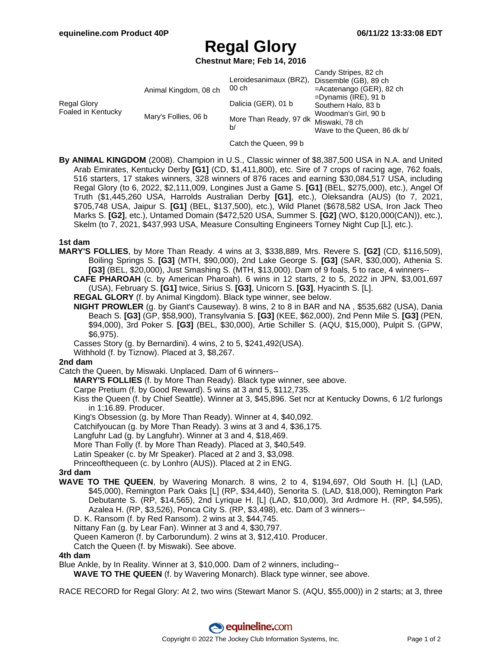# **Regal Glory**

**Chestnut Mare; Feb 14, 2016**

|                                   |                       | Leroidesanimaux (BRZ), Dissemble (GB), 89 ch | Candy Stripes, 82 ch                                |
|-----------------------------------|-----------------------|----------------------------------------------|-----------------------------------------------------|
| Regal Glory<br>Foaled in Kentucky | Animal Kingdom, 08 ch | 00 ch                                        | $=$ Acatenango (GER), 82 ch                         |
|                                   |                       | Dalicia (GER), 01 b                          | $=$ Dynamis (IRE), 91 b                             |
|                                   |                       |                                              | Southern Halo, 83 b                                 |
|                                   | Mary's Follies, 06 b  | More Than Ready, 97 dk Miswaki, 78 ch<br>b/  | Woodman's Girl, 90 b<br>Wave to the Queen, 86 dk b/ |

Catch the Queen, 99 b

**By ANIMAL KINGDOM** (2008). Champion in U.S., Classic winner of \$8,387,500 USA in N.A. and United Arab Emirates, Kentucky Derby **[G1]** (CD, \$1,411,800), etc. Sire of 7 crops of racing age, 762 foals, 516 starters, 17 stakes winners, 328 winners of 876 races and earning \$30,084,517 USA, including Regal Glory (to 6, 2022, \$2,111,009, Longines Just a Game S. **[G1]** (BEL, \$275,000), etc.), Angel Of Truth (\$1,445,260 USA, Harrolds Australian Derby **[G1]**, etc.), Oleksandra (AUS) (to 7, 2021, \$705,748 USA, Jaipur S. **[G1]** (BEL, \$137,500), etc.), Wild Planet (\$678,582 USA, Iron Jack Theo Marks S. **[G2]**, etc.), Untamed Domain (\$472,520 USA, Summer S. **[G2]** (WO, \$120,000(CAN)), etc.), Skelm (to 7, 2021, \$437,993 USA, Measure Consulting Engineers Torney Night Cup [L], etc.).

#### **1st dam**

**MARY'S FOLLIES**, by More Than Ready. 4 wins at 3, \$338,889, Mrs. Revere S. **[G2]** (CD, \$116,509), Boiling Springs S. **[G3]** (MTH, \$90,000), 2nd Lake George S. **[G3]** (SAR, \$30,000), Athenia S. **[G3]** (BEL, \$20,000), Just Smashing S. (MTH, \$13,000). Dam of 9 foals, 5 to race, 4 winners--

**CAFE PHAROAH** (c. by American Pharoah). 6 wins in 12 starts, 2 to 5, 2022 in JPN, \$3,001,697 (USA), February S. **[G1]** twice, Sirius S. **[G3]**, Unicorn S. **[G3]**, Hyacinth S. [L].

**REGAL GLORY** (f. by Animal Kingdom). Black type winner, see below.

**NIGHT PROWLER** (g. by Giant's Causeway). 8 wins, 2 to 8 in BAR and NA , \$535,682 (USA), Dania Beach S. **[G3]** (GP, \$58,900), Transylvania S. **[G3]** (KEE, \$62,000), 2nd Penn Mile S. **[G3]** (PEN, \$94,000), 3rd Poker S. **[G3]** (BEL, \$30,000), Artie Schiller S. (AQU, \$15,000), Pulpit S. (GPW, \$6,975).

Casses Story (g. by Bernardini). 4 wins, 2 to 5, \$241,492(USA).

Withhold (f. by Tiznow). Placed at 3, \$8,267.

#### **2nd dam**

Catch the Queen, by Miswaki. Unplaced. Dam of 6 winners--

**MARY'S FOLLIES** (f. by More Than Ready). Black type winner, see above.

Carpe Pretium (f. by Good Reward). 5 wins at 3 and 5, \$112,735.

Kiss the Queen (f. by Chief Seattle). Winner at 3, \$45,896. Set ncr at Kentucky Downs, 6 1/2 furlongs in 1:16.89. Producer.

King's Obsession (g. by More Than Ready). Winner at 4, \$40,092.

Catchifyoucan (g. by More Than Ready). 3 wins at 3 and 4, \$36,175.

Langfuhr Lad (g. by Langfuhr). Winner at 3 and 4, \$18,469.

More Than Folly (f. by More Than Ready). Placed at 3, \$40,549.

Latin Speaker (c. by Mr Speaker). Placed at 2 and 3, \$3,098.

Princeofthequeen (c. by Lonhro (AUS)). Placed at 2 in ENG.

#### **3rd dam**

- **WAVE TO THE QUEEN**, by Wavering Monarch. 8 wins, 2 to 4, \$194,697, Old South H. [L] (LAD, \$45,000), Remington Park Oaks [L] (RP, \$34,440), Senorita S. (LAD, \$18,000), Remington Park Debutante S. (RP, \$14,565), 2nd Lyrique H. [L] (LAD, \$10,000), 3rd Ardmore H. (RP, \$4,595), Azalea H. (RP, \$3,526), Ponca City S. (RP, \$3,498), etc. Dam of 3 winners--
	- D. K. Ransom (f. by Red Ransom). 2 wins at 3, \$44,745.

Nittany Fan (g. by Lear Fan). Winner at 3 and 4, \$30,797.

Queen Kameron (f. by Carborundum). 2 wins at 3, \$12,410. Producer.

Catch the Queen (f. by Miswaki). See above.

## **4th dam**

Blue Ankle, by In Reality. Winner at 3, \$10,000. Dam of 2 winners, including--

**WAVE TO THE QUEEN** (f. by Wavering Monarch). Black type winner, see above.

RACE RECORD for Regal Glory: At 2, two wins (Stewart Manor S. (AQU, \$55,000)) in 2 starts; at 3, three